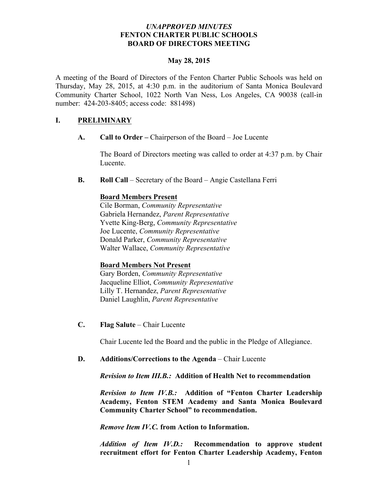### *UNAPPROVED MINUTES* **FENTON CHARTER PUBLIC SCHOOLS BOARD OF DIRECTORS MEETING**

#### **May 28, 2015**

A meeting of the Board of Directors of the Fenton Charter Public Schools was held on Thursday, May 28, 2015, at 4:30 p.m. in the auditorium of Santa Monica Boulevard Community Charter School, 1022 North Van Ness, Los Angeles, CA 90038 (call-in number: 424-203-8405; access code: 881498)

## **I. PRELIMINARY**

**A. Call to Order –** Chairperson of the Board – Joe Lucente

The Board of Directors meeting was called to order at 4:37 p.m. by Chair Lucente.

**B. Roll Call** – Secretary of the Board – Angie Castellana Ferri

### **Board Members Present**

Cile Borman, *Community Representative* Gabriela Hernandez, *Parent Representative* Yvette King-Berg, *Community Representative* Joe Lucente, *Community Representative* Donald Parker, *Community Representative* Walter Wallace, *Community Representative* 

### **Board Members Not Present**

Gary Borden, *Community Representative* Jacqueline Elliot, *Community Representative* Lilly T. Hernandez, *Parent Representative* Daniel Laughlin, *Parent Representative*

**C. Flag Salute** – Chair Lucente

Chair Lucente led the Board and the public in the Pledge of Allegiance.

### **D. Additions/Corrections to the Agenda** – Chair Lucente

*Revision to Item III.B.:* **Addition of Health Net to recommendation** 

*Revision to Item IV.B.:* **Addition of "Fenton Charter Leadership Academy, Fenton STEM Academy and Santa Monica Boulevard Community Charter School" to recommendation.**

*Remove Item IV.C.* **from Action to Information.**

*Addition of Item IV.D.:* **Recommendation to approve student recruitment effort for Fenton Charter Leadership Academy, Fenton**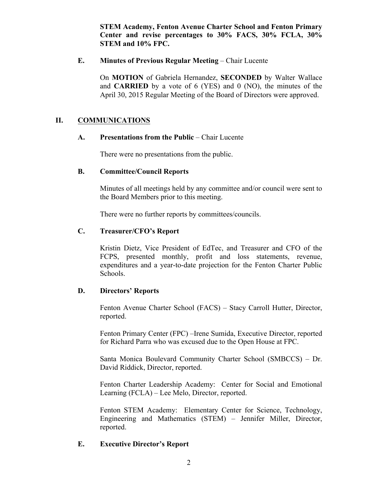**STEM Academy, Fenton Avenue Charter School and Fenton Primary Center and revise percentages to 30% FACS, 30% FCLA, 30% STEM and 10% FPC.**

### **E. Minutes of Previous Regular Meeting – Chair Lucente**

On **MOTION** of Gabriela Hernandez, **SECONDED** by Walter Wallace and **CARRIED** by a vote of 6 (YES) and 0 (NO), the minutes of the April 30, 2015 Regular Meeting of the Board of Directors were approved.

### **II. COMMUNICATIONS**

### **A. Presentations from the Public** – Chair Lucente

There were no presentations from the public.

### **B. Committee/Council Reports**

Minutes of all meetings held by any committee and/or council were sent to the Board Members prior to this meeting.

There were no further reports by committees/councils.

### **C. Treasurer/CFO's Report**

Kristin Dietz, Vice President of EdTec, and Treasurer and CFO of the FCPS, presented monthly, profit and loss statements, revenue, expenditures and a year-to-date projection for the Fenton Charter Public Schools.

### **D. Directors' Reports**

Fenton Avenue Charter School (FACS) – Stacy Carroll Hutter, Director, reported.

Fenton Primary Center (FPC) –Irene Sumida, Executive Director, reported for Richard Parra who was excused due to the Open House at FPC.

Santa Monica Boulevard Community Charter School (SMBCCS) – Dr. David Riddick, Director, reported.

Fenton Charter Leadership Academy: Center for Social and Emotional Learning (FCLA) – Lee Melo, Director, reported.

Fenton STEM Academy: Elementary Center for Science, Technology, Engineering and Mathematics (STEM) – Jennifer Miller, Director, reported.

### **E. Executive Director's Report**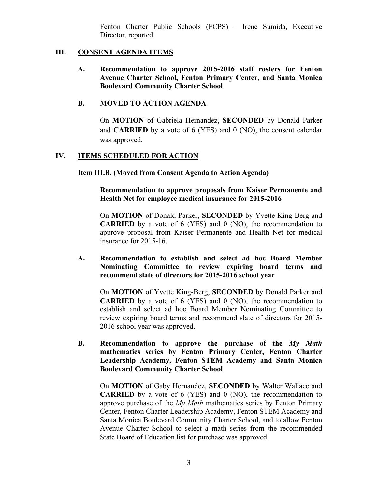Fenton Charter Public Schools (FCPS) – Irene Sumida, Executive Director, reported.

## **III. CONSENT AGENDA ITEMS**

**A. Recommendation to approve 2015-2016 staff rosters for Fenton Avenue Charter School, Fenton Primary Center, and Santa Monica Boulevard Community Charter School**

## **B. MOVED TO ACTION AGENDA**

On **MOTION** of Gabriela Hernandez, **SECONDED** by Donald Parker and **CARRIED** by a vote of 6 (YES) and 0 (NO), the consent calendar was approved.

## **IV. ITEMS SCHEDULED FOR ACTION**

**Item III.B. (Moved from Consent Agenda to Action Agenda)**

**Recommendation to approve proposals from Kaiser Permanente and Health Net for employee medical insurance for 2015-2016**

On **MOTION** of Donald Parker, **SECONDED** by Yvette King-Berg and **CARRIED** by a vote of 6 (YES) and 0 (NO), the recommendation to approve proposal from Kaiser Permanente and Health Net for medical insurance for 2015-16.

**A. Recommendation to establish and select ad hoc Board Member Nominating Committee to review expiring board terms and recommend slate of directors for 2015-2016 school year**

On **MOTION** of Yvette King-Berg, **SECONDED** by Donald Parker and **CARRIED** by a vote of 6 (YES) and 0 (NO), the recommendation to establish and select ad hoc Board Member Nominating Committee to review expiring board terms and recommend slate of directors for 2015- 2016 school year was approved.

**B. Recommendation to approve the purchase of the** *My Math* **mathematics series by Fenton Primary Center, Fenton Charter Leadership Academy, Fenton STEM Academy and Santa Monica Boulevard Community Charter School**

On **MOTION** of Gaby Hernandez, **SECONDED** by Walter Wallace and **CARRIED** by a vote of 6 (YES) and 0 (NO), the recommendation to approve purchase of the *My Math* mathematics series by Fenton Primary Center, Fenton Charter Leadership Academy, Fenton STEM Academy and Santa Monica Boulevard Community Charter School, and to allow Fenton Avenue Charter School to select a math series from the recommended State Board of Education list for purchase was approved.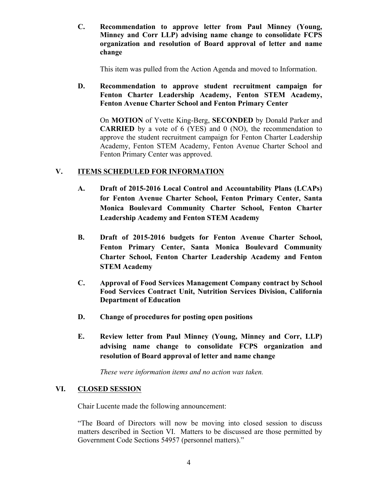**C. Recommendation to approve letter from Paul Minney (Young, Minney and Corr LLP) advising name change to consolidate FCPS organization and resolution of Board approval of letter and name change**

This item was pulled from the Action Agenda and moved to Information.

## **D. Recommendation to approve student recruitment campaign for Fenton Charter Leadership Academy, Fenton STEM Academy, Fenton Avenue Charter School and Fenton Primary Center**

On **MOTION** of Yvette King-Berg, **SECONDED** by Donald Parker and **CARRIED** by a vote of 6 (YES) and 0 (NO), the recommendation to approve the student recruitment campaign for Fenton Charter Leadership Academy, Fenton STEM Academy, Fenton Avenue Charter School and Fenton Primary Center was approved.

## **V. ITEMS SCHEDULED FOR INFORMATION**

- **A. Draft of 2015-2016 Local Control and Accountability Plans (LCAPs) for Fenton Avenue Charter School, Fenton Primary Center, Santa Monica Boulevard Community Charter School, Fenton Charter Leadership Academy and Fenton STEM Academy**
- **B. Draft of 2015-2016 budgets for Fenton Avenue Charter School, Fenton Primary Center, Santa Monica Boulevard Community Charter School, Fenton Charter Leadership Academy and Fenton STEM Academy**
- **C. Approval of Food Services Management Company contract by School Food Services Contract Unit, Nutrition Services Division, California Department of Education**
- **D. Change of procedures for posting open positions**
- **E. Review letter from Paul Minney (Young, Minney and Corr, LLP) advising name change to consolidate FCPS organization and resolution of Board approval of letter and name change**

*These were information items and no action was taken.*

## **VI. CLOSED SESSION**

Chair Lucente made the following announcement:

"The Board of Directors will now be moving into closed session to discuss matters described in Section VI. Matters to be discussed are those permitted by Government Code Sections 54957 (personnel matters)."